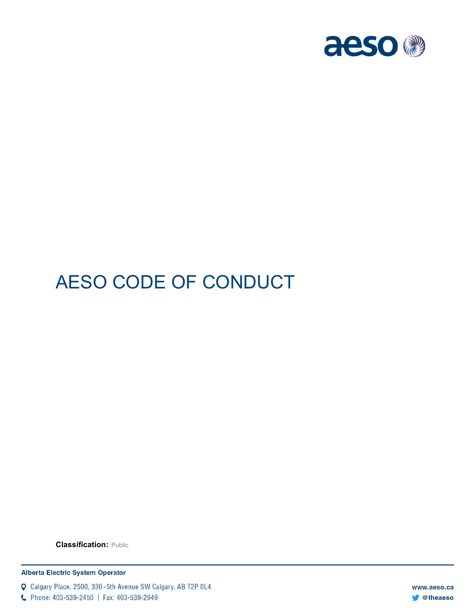

# AESO CODE OF CONDUCT

**Classification:** Public

**Alberta Electric System Operator** 

Q Calgary Place, 2500, 330-5th Avenue SW Calgary, AB T2P 0L4

C Phone: 403-539-2450 | Fax: 403-539-2949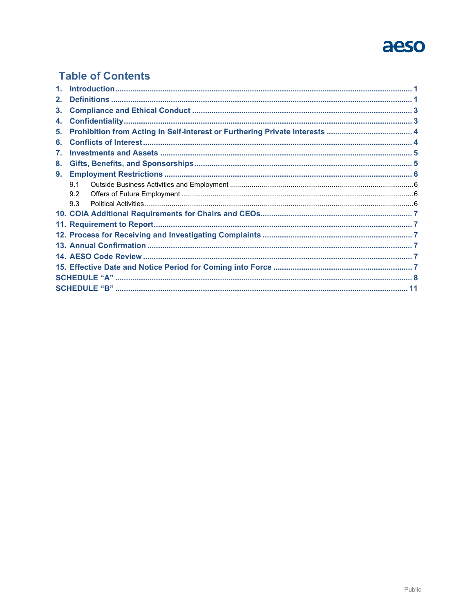## aeso

### **Table of Contents**

| 2. |     |  |  |  |  |  |
|----|-----|--|--|--|--|--|
| 3. |     |  |  |  |  |  |
| 4. |     |  |  |  |  |  |
| 5. |     |  |  |  |  |  |
| 6. |     |  |  |  |  |  |
| 7. |     |  |  |  |  |  |
| 8. |     |  |  |  |  |  |
| 9. |     |  |  |  |  |  |
|    | 9.1 |  |  |  |  |  |
|    | 9.2 |  |  |  |  |  |
|    | 93  |  |  |  |  |  |
|    |     |  |  |  |  |  |
|    |     |  |  |  |  |  |
|    |     |  |  |  |  |  |
|    |     |  |  |  |  |  |
|    |     |  |  |  |  |  |
|    |     |  |  |  |  |  |
|    |     |  |  |  |  |  |
|    |     |  |  |  |  |  |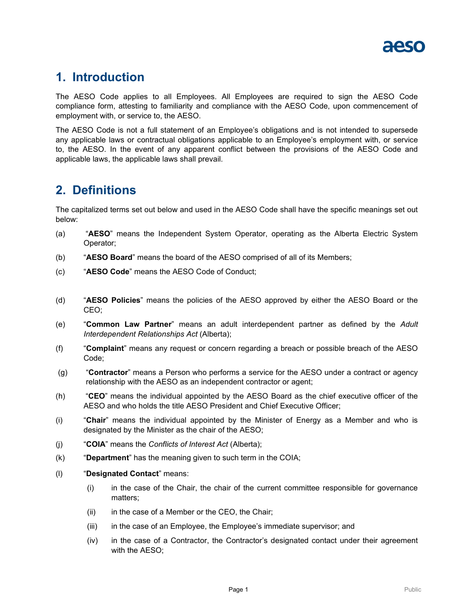

### <span id="page-2-0"></span>**1. Introduction**

The AESO Code applies to all Employees. All Employees are required to sign the AESO Code compliance form, attesting to familiarity and compliance with the AESO Code, upon commencement of employment with, or service to, the AESO.

The AESO Code is not a full statement of an Employee's obligations and is not intended to supersede any applicable laws or contractual obligations applicable to an Employee's employment with, or service to, the AESO. In the event of any apparent conflict between the provisions of the AESO Code and applicable laws, the applicable laws shall prevail.

### <span id="page-2-1"></span>**2. Definitions**

The capitalized terms set out below and used in the AESO Code shall have the specific meanings set out below:

- (a) "**AESO**" means the Independent System Operator, operating as the Alberta Electric System Operator;
- (b) "**AESO Board**" means the board of the AESO comprised of all of its Members;
- (c) "**AESO Code**" means the AESO Code of Conduct;
- (d) "**AESO Policies**" means the policies of the AESO approved by either the AESO Board or the CEO;
- (e) "**Common Law Partner**" means an adult interdependent partner as defined by the *Adult Interdependent Relationships Act* (Alberta);
- (f) "**Complaint**" means any request or concern regarding a breach or possible breach of the AESO Code;
- (g) "**Contractor**" means a Person who performs a service for the AESO under a contract or agency relationship with the AESO as an independent contractor or agent;
- (h) "**CEO**" means the individual appointed by the AESO Board as the chief executive officer of the AESO and who holds the title AESO President and Chief Executive Officer;
- (i) "**Chair**" means the individual appointed by the Minister of Energy as a Member and who is designated by the Minister as the chair of the AESO;
- (j) "**COIA**" means the *Conflicts of Interest Act* (Alberta);
- (k) "**Department**" has the meaning given to such term in the COIA;
- (l) "**Designated Contact**" means:
	- (i) in the case of the Chair, the chair of the current committee responsible for governance matters;
	- (ii) in the case of a Member or the CEO, the Chair;
	- (iii) in the case of an Employee, the Employee's immediate supervisor; and
	- (iv) in the case of a Contractor, the Contractor's designated contact under their agreement with the AESO;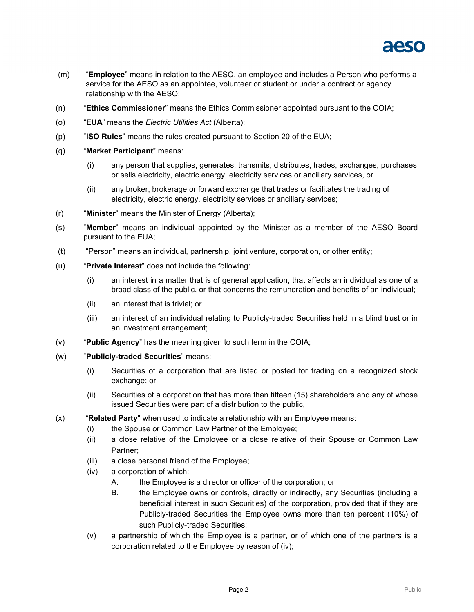

- (m) "**Employee**" means in relation to the AESO, an employee and includes a Person who performs a service for the AESO as an appointee, volunteer or student or under a contract or agency relationship with the AESO;
- (n) "**Ethics Commissioner**" means the Ethics Commissioner appointed pursuant to the COIA;
- (o) "**EUA**" means the *Electric Utilities Act* (Alberta);
- (p) "**ISO Rules**" means the rules created pursuant to Section 20 of the EUA;
- (q) "**Market Participant**" means:
	- (i) any person that supplies, generates, transmits, distributes, trades, exchanges, purchases or sells electricity, electric energy, electricity services or ancillary services, or
	- (ii) any broker, brokerage or forward exchange that trades or facilitates the trading of electricity, electric energy, electricity services or ancillary services;
- (r) "**Minister**" means the Minister of Energy (Alberta);
- (s) "**Member**" means an individual appointed by the Minister as a member of the AESO Board pursuant to the EUA;
- (t) "Person" means an individual, partnership, joint venture, corporation, or other entity;
- (u) "**Private Interest**" does not include the following:
	- (i) an interest in a matter that is of general application, that affects an individual as one of a broad class of the public, or that concerns the remuneration and benefits of an individual;
	- (ii) an interest that is trivial; or
	- (iii) an interest of an individual relating to Publicly-traded Securities held in a blind trust or in an investment arrangement;
- (v) "**Public Agency**" has the meaning given to such term in the COIA;
- (w) "**Publicly-traded Securities**" means:
	- (i) Securities of a corporation that are listed or posted for trading on a recognized stock exchange; or
	- (ii) Securities of a corporation that has more than fifteen (15) shareholders and any of whose issued Securities were part of a distribution to the public,
- <span id="page-3-0"></span>(x) "**Related Party**" when used to indicate a relationship with an Employee means:
	- (i) the Spouse or Common Law Partner of the Employee;
	- (ii) a close relative of the Employee or a close relative of their Spouse or Common Law Partner;
	- (iii) a close personal friend of the Employee;
	- (iv) a corporation of which:
		- A. the Employee is a director or officer of the corporation; or
		- B. the Employee owns or controls, directly or indirectly, any Securities (including a beneficial interest in such Securities) of the corporation, provided that if they are Publicly-traded Securities the Employee owns more than ten percent (10%) of such Publicly-traded Securities;
	- (v) a partnership of which the Employee is a partner, or of which one of the partners is a corporation related to the Employee by reason of [\(iv\);](#page-3-0)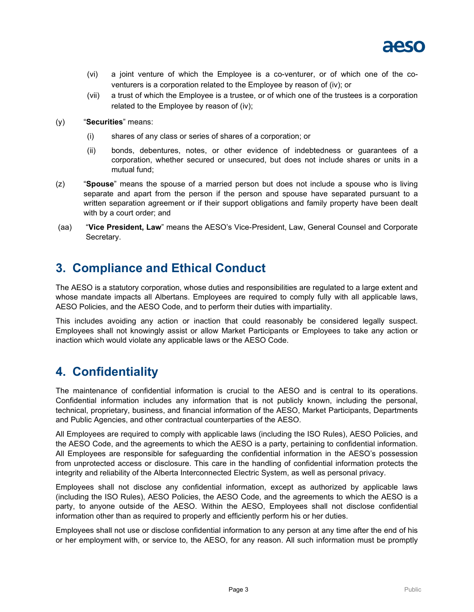

- (vi) a joint venture of which the Employee is a co-venturer, or of which one of the coventurers is a corporation related to the Employee by reason of [\(iv\);](#page-3-0) or
- (vii) a trust of which the Employee is a trustee, or of which one of the trustees is a corporation related to the Employee by reason of [\(iv\);](#page-3-0)
- (y) "**Securities**" means:
	- (i) shares of any class or series of shares of a corporation; or
	- (ii) bonds, debentures, notes, or other evidence of indebtedness or guarantees of a corporation, whether secured or unsecured, but does not include shares or units in a mutual fund;
- (z) "**Spouse**" means the spouse of a married person but does not include a spouse who is living separate and apart from the person if the person and spouse have separated pursuant to a written separation agreement or if their support obligations and family property have been dealt with by a court order; and
- (aa) "**Vice President, Law**" means the AESO's Vice-President, Law, General Counsel and Corporate Secretary.

## <span id="page-4-0"></span>**3. Compliance and Ethical Conduct**

The AESO is a statutory corporation, whose duties and responsibilities are regulated to a large extent and whose mandate impacts all Albertans. Employees are required to comply fully with all applicable laws, AESO Policies, and the AESO Code, and to perform their duties with impartiality.

This includes avoiding any action or inaction that could reasonably be considered legally suspect. Employees shall not knowingly assist or allow Market Participants or Employees to take any action or inaction which would violate any applicable laws or the AESO Code.

### <span id="page-4-1"></span>**4. Confidentiality**

The maintenance of confidential information is crucial to the AESO and is central to its operations. Confidential information includes any information that is not publicly known, including the personal, technical, proprietary, business, and financial information of the AESO, Market Participants, Departments and Public Agencies, and other contractual counterparties of the AESO.

All Employees are required to comply with applicable laws (including the ISO Rules), AESO Policies, and the AESO Code, and the agreements to which the AESO is a party, pertaining to confidential information. All Employees are responsible for safeguarding the confidential information in the AESO's possession from unprotected access or disclosure. This care in the handling of confidential information protects the integrity and reliability of the Alberta Interconnected Electric System, as well as personal privacy.

Employees shall not disclose any confidential information, except as authorized by applicable laws (including the ISO Rules), AESO Policies, the AESO Code, and the agreements to which the AESO is a party, to anyone outside of the AESO. Within the AESO, Employees shall not disclose confidential information other than as required to properly and efficiently perform his or her duties.

Employees shall not use or disclose confidential information to any person at any time after the end of his or her employment with, or service to, the AESO, for any reason. All such information must be promptly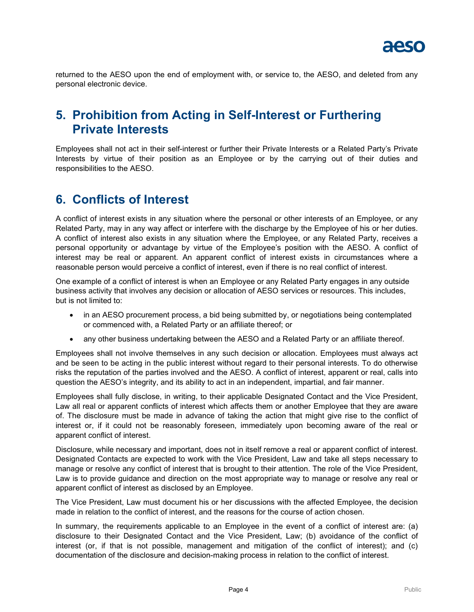

returned to the AESO upon the end of employment with, or service to, the AESO, and deleted from any personal electronic device.

### <span id="page-5-0"></span>**5. Prohibition from Acting in Self-Interest or Furthering Private Interests**

Employees shall not act in their self-interest or further their Private Interests or a Related Party's Private Interests by virtue of their position as an Employee or by the carrying out of their duties and responsibilities to the AESO.

### <span id="page-5-1"></span>**6. Conflicts of Interest**

A conflict of interest exists in any situation where the personal or other interests of an Employee, or any Related Party, may in any way affect or interfere with the discharge by the Employee of his or her duties. A conflict of interest also exists in any situation where the Employee, or any Related Party, receives a personal opportunity or advantage by virtue of the Employee's position with the AESO. A conflict of interest may be real or apparent. An apparent conflict of interest exists in circumstances where a reasonable person would perceive a conflict of interest, even if there is no real conflict of interest.

One example of a conflict of interest is when an Employee or any Related Party engages in any outside business activity that involves any decision or allocation of AESO services or resources. This includes, but is not limited to:

- in an AESO procurement process, a bid being submitted by, or negotiations being contemplated or commenced with, a Related Party or an affiliate thereof; or
- any other business undertaking between the AESO and a Related Party or an affiliate thereof.

Employees shall not involve themselves in any such decision or allocation. Employees must always act and be seen to be acting in the public interest without regard to their personal interests. To do otherwise risks the reputation of the parties involved and the AESO. A conflict of interest, apparent or real, calls into question the AESO's integrity, and its ability to act in an independent, impartial, and fair manner.

Employees shall fully disclose, in writing, to their applicable Designated Contact and the Vice President, Law all real or apparent conflicts of interest which affects them or another Employee that they are aware of. The disclosure must be made in advance of taking the action that might give rise to the conflict of interest or, if it could not be reasonably foreseen, immediately upon becoming aware of the real or apparent conflict of interest.

Disclosure, while necessary and important, does not in itself remove a real or apparent conflict of interest. Designated Contacts are expected to work with the Vice President, Law and take all steps necessary to manage or resolve any conflict of interest that is brought to their attention. The role of the Vice President, Law is to provide guidance and direction on the most appropriate way to manage or resolve any real or apparent conflict of interest as disclosed by an Employee.

The Vice President, Law must document his or her discussions with the affected Employee, the decision made in relation to the conflict of interest, and the reasons for the course of action chosen.

In summary, the requirements applicable to an Employee in the event of a conflict of interest are: (a) disclosure to their Designated Contact and the Vice President, Law; (b) avoidance of the conflict of interest (or, if that is not possible, management and mitigation of the conflict of interest); and (c) documentation of the disclosure and decision-making process in relation to the conflict of interest.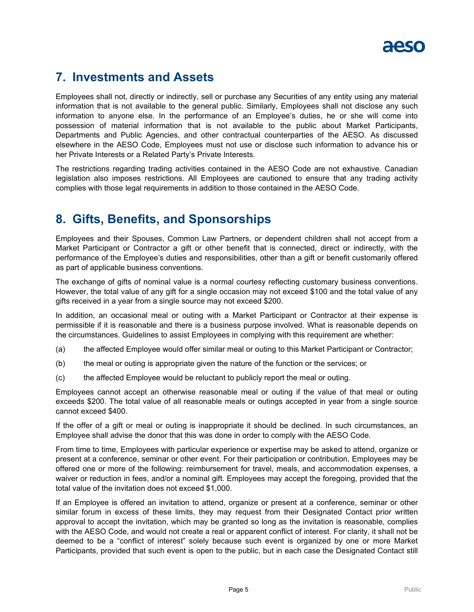

### <span id="page-6-0"></span>**7. Investments and Assets**

Employees shall not, directly or indirectly, sell or purchase any Securities of any entity using any material information that is not available to the general public. Similarly, Employees shall not disclose any such information to anyone else. In the performance of an Employee's duties, he or she will come into possession of material information that is not available to the public about Market Participants, Departments and Public Agencies, and other contractual counterparties of the AESO. As discussed elsewhere in the AESO Code, Employees must not use or disclose such information to advance his or her Private Interests or a Related Party's Private Interests.

The restrictions regarding trading activities contained in the AESO Code are not exhaustive. Canadian legislation also imposes restrictions. All Employees are cautioned to ensure that any trading activity complies with those legal requirements in addition to those contained in the AESO Code.

### <span id="page-6-1"></span>**8. Gifts, Benefits, and Sponsorships**

Employees and their Spouses, Common Law Partners, or dependent children shall not accept from a Market Participant or Contractor a gift or other benefit that is connected, direct or indirectly, with the performance of the Employee's duties and responsibilities, other than a gift or benefit customarily offered as part of applicable business conventions.

The exchange of gifts of nominal value is a normal courtesy reflecting customary business conventions. However, the total value of any gift for a single occasion may not exceed \$100 and the total value of any gifts received in a year from a single source may not exceed \$200.

In addition, an occasional meal or outing with a Market Participant or Contractor at their expense is permissible if it is reasonable and there is a business purpose involved. What is reasonable depends on the circumstances. Guidelines to assist Employees in complying with this requirement are whether:

- (a) the affected Employee would offer similar meal or outing to this Market Participant or Contractor;
- (b) the meal or outing is appropriate given the nature of the function or the services; or
- (c) the affected Employee would be reluctant to publicly report the meal or outing.

Employees cannot accept an otherwise reasonable meal or outing if the value of that meal or outing exceeds \$200. The total value of all reasonable meals or outings accepted in year from a single source cannot exceed \$400.

If the offer of a gift or meal or outing is inappropriate it should be declined. In such circumstances, an Employee shall advise the donor that this was done in order to comply with the AESO Code.

From time to time, Employees with particular experience or expertise may be asked to attend, organize or present at a conference, seminar or other event. For their participation or contribution, Employees may be offered one or more of the following: reimbursement for travel, meals, and accommodation expenses, a waiver or reduction in fees, and/or a nominal gift. Employees may accept the foregoing, provided that the total value of the invitation does not exceed \$1,000.

If an Employee is offered an invitation to attend, organize or present at a conference, seminar or other similar forum in excess of these limits, they may request from their Designated Contact prior written approval to accept the invitation, which may be granted so long as the invitation is reasonable, complies with the AESO Code, and would not create a real or apparent conflict of interest. For clarity, it shall not be deemed to be a "conflict of interest" solely because such event is organized by one or more Market Participants, provided that such event is open to the public, but in each case the Designated Contact still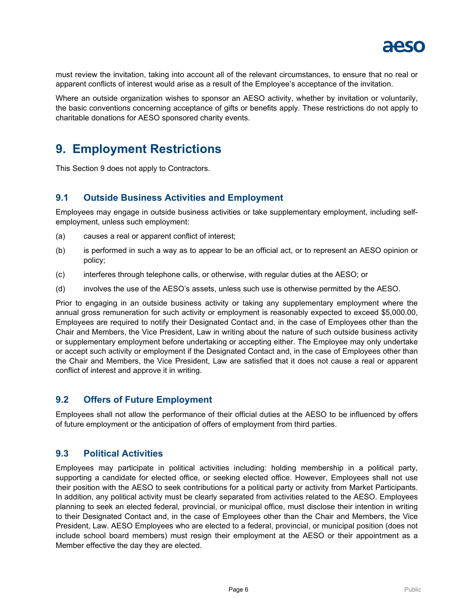

must review the invitation, taking into account all of the relevant circumstances, to ensure that no real or apparent conflicts of interest would arise as a result of the Employee's acceptance of the invitation.

Where an outside organization wishes to sponsor an AESO activity, whether by invitation or voluntarily, the basic conventions concerning acceptance of gifts or benefits apply. These restrictions do not apply to charitable donations for AESO sponsored charity events.

### <span id="page-7-0"></span>**9. Employment Restrictions**

This Section [9](#page-7-0) does not apply to Contractors.

### <span id="page-7-1"></span>**9.1 Outside Business Activities and Employment**

Employees may engage in outside business activities or take supplementary employment, including selfemployment, unless such employment:

- (a) causes a real or apparent conflict of interest;
- (b) is performed in such a way as to appear to be an official act, or to represent an AESO opinion or policy;
- (c) interferes through telephone calls, or otherwise, with regular duties at the AESO; or
- (d) involves the use of the AESO's assets, unless such use is otherwise permitted by the AESO.

Prior to engaging in an outside business activity or taking any supplementary employment where the annual gross remuneration for such activity or employment is reasonably expected to exceed \$5,000.00, Employees are required to notify their Designated Contact and, in the case of Employees other than the Chair and Members, the Vice President, Law in writing about the nature of such outside business activity or supplementary employment before undertaking or accepting either. The Employee may only undertake or accept such activity or employment if the Designated Contact and, in the case of Employees other than the Chair and Members, the Vice President, Law are satisfied that it does not cause a real or apparent conflict of interest and approve it in writing.

### <span id="page-7-2"></span>**9.2 Offers of Future Employment**

Employees shall not allow the performance of their official duties at the AESO to be influenced by offers of future employment or the anticipation of offers of employment from third parties.

### <span id="page-7-3"></span>**9.3 Political Activities**

Employees may participate in political activities including: holding membership in a political party, supporting a candidate for elected office, or seeking elected office. However, Employees shall not use their position with the AESO to seek contributions for a political party or activity from Market Participants. In addition, any political activity must be clearly separated from activities related to the AESO. Employees planning to seek an elected federal, provincial, or municipal office, must disclose their intention in writing to their Designated Contact and, in the case of Employees other than the Chair and Members, the Vice President, Law. AESO Employees who are elected to a federal, provincial, or municipal position (does not include school board members) must resign their employment at the AESO or their appointment as a Member effective the day they are elected.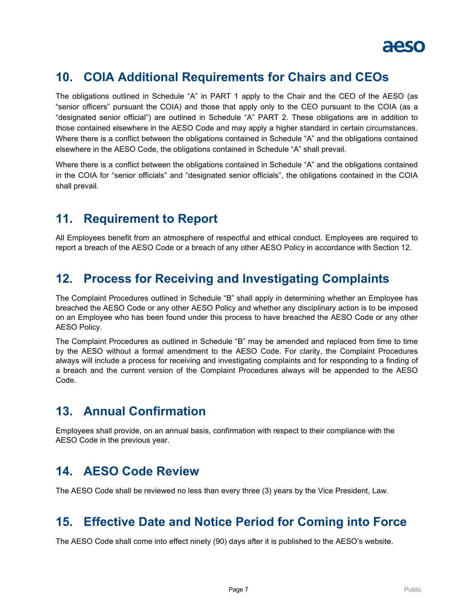## <span id="page-8-0"></span>**10. COIA Additional Requirements for Chairs and CEOs**

The obligations outlined in Schedule "A" in PART 1 apply to the Chair and the CEO of the AESO (as "senior officers" pursuant the COIA) and those that apply only to the CEO pursuant to the COIA (as a "designated senior official") are outlined in Schedule "A" PART 2. These obligations are in addition to those contained elsewhere in the AESO Code and may apply a higher standard in certain circumstances. Where there is a conflict between the obligations contained in Schedule "A" and the obligations contained elsewhere in the AESO Code, the obligations contained in Schedule "A" shall prevail.

Where there is a conflict between the obligations contained in Schedule "A" and the obligations contained in the COIA for "senior officials" and "designated senior officials", the obligations contained in the COIA shall prevail.

### <span id="page-8-1"></span>**11. Requirement to Report**

All Employees benefit from an atmosphere of respectful and ethical conduct. Employees are required to report a breach of the AESO Code or a breach of any other AESO Policy in accordance with Section [12.](#page-8-2)

### <span id="page-8-2"></span>**12. Process for Receiving and Investigating Complaints**

The Complaint Procedures outlined in Schedule "B" shall apply in determining whether an Employee has breached the AESO Code or any other AESO Policy and whether any disciplinary action is to be imposed on an Employee who has been found under this process to have breached the AESO Code or any other AESO Policy.

The Complaint Procedures as outlined in Schedule "B" may be amended and replaced from time to time by the AESO without a formal amendment to the AESO Code. For clarity, the Complaint Procedures always will include a process for receiving and investigating complaints and for responding to a finding of a breach and the current version of the Complaint Procedures always will be appended to the AESO Code.

## <span id="page-8-3"></span>**13. Annual Confirmation**

Employees shall provide, on an annual basis, confirmation with respect to their compliance with the AESO Code in the previous year.

### <span id="page-8-4"></span>**14. AESO Code Review**

The AESO Code shall be reviewed no less than every three (3) years by the Vice President, Law.

### <span id="page-8-5"></span>**15. Effective Date and Notice Period for Coming into Force**

The AESO Code shall come into effect ninety (90) days after it is published to the AESO's website.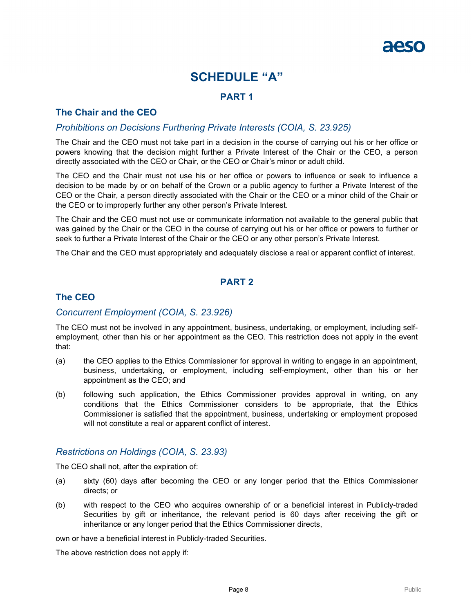### **SCHEDULE "A"**

### **PART 1**

### <span id="page-9-0"></span>**The Chair and the CEO**

### *Prohibitions on Decisions Furthering Private Interests (COIA, S. 23.925)*

The Chair and the CEO must not take part in a decision in the course of carrying out his or her office or powers knowing that the decision might further a Private Interest of the Chair or the CEO, a person directly associated with the CEO or Chair, or the CEO or Chair's minor or adult child.

The CEO and the Chair must not use his or her office or powers to influence or seek to influence a decision to be made by or on behalf of the Crown or a public agency to further a Private Interest of the CEO or the Chair, a person directly associated with the Chair or the CEO or a minor child of the Chair or the CEO or to improperly further any other person's Private Interest.

The Chair and the CEO must not use or communicate information not available to the general public that was gained by the Chair or the CEO in the course of carrying out his or her office or powers to further or seek to further a Private Interest of the Chair or the CEO or any other person's Private Interest.

The Chair and the CEO must appropriately and adequately disclose a real or apparent conflict of interest.

### **PART 2**

### **The CEO**

#### *Concurrent Employment (COIA, S. 23.926)*

The CEO must not be involved in any appointment, business, undertaking, or employment, including selfemployment, other than his or her appointment as the CEO. This restriction does not apply in the event that:

- (a) the CEO applies to the Ethics Commissioner for approval in writing to engage in an appointment, business, undertaking, or employment, including self-employment, other than his or her appointment as the CEO; and
- (b) following such application, the Ethics Commissioner provides approval in writing, on any conditions that the Ethics Commissioner considers to be appropriate, that the Ethics Commissioner is satisfied that the appointment, business, undertaking or employment proposed will not constitute a real or apparent conflict of interest.

### *Restrictions on Holdings (COIA, S. 23.93)*

The CEO shall not, after the expiration of:

- (a) sixty (60) days after becoming the CEO or any longer period that the Ethics Commissioner directs; or
- (b) with respect to the CEO who acquires ownership of or a beneficial interest in Publicly-traded Securities by gift or inheritance, the relevant period is 60 days after receiving the gift or inheritance or any longer period that the Ethics Commissioner directs,

own or have a beneficial interest in Publicly-traded Securities.

The above restriction does not apply if: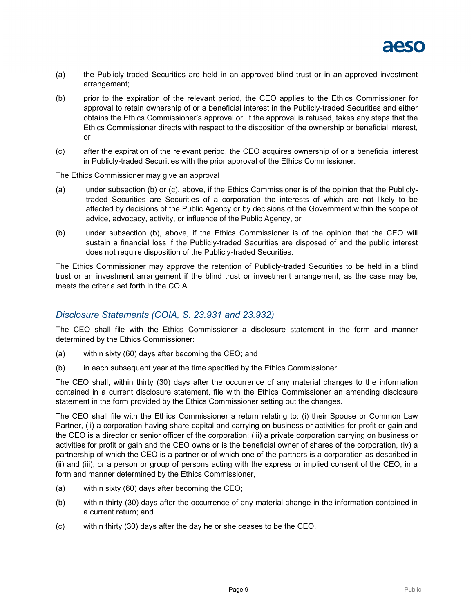

- (a) the Publicly-traded Securities are held in an approved blind trust or in an approved investment arrangement;
- (b) prior to the expiration of the relevant period, the CEO applies to the Ethics Commissioner for approval to retain ownership of or a beneficial interest in the Publicly-traded Securities and either obtains the Ethics Commissioner's approval or, if the approval is refused, takes any steps that the Ethics Commissioner directs with respect to the disposition of the ownership or beneficial interest, or
- (c) after the expiration of the relevant period, the CEO acquires ownership of or a beneficial interest in Publicly-traded Securities with the prior approval of the Ethics Commissioner.

The Ethics Commissioner may give an approval

- (a) under subsection (b) or (c), above, if the Ethics Commissioner is of the opinion that the Publiclytraded Securities are Securities of a corporation the interests of which are not likely to be affected by decisions of the Public Agency or by decisions of the Government within the scope of advice, advocacy, activity, or influence of the Public Agency, or
- (b) under subsection (b), above, if the Ethics Commissioner is of the opinion that the CEO will sustain a financial loss if the Publicly-traded Securities are disposed of and the public interest does not require disposition of the Publicly-traded Securities.

The Ethics Commissioner may approve the retention of Publicly-traded Securities to be held in a blind trust or an investment arrangement if the blind trust or investment arrangement, as the case may be, meets the criteria set forth in the COIA.

### *Disclosure Statements (COIA, S. 23.931 and 23.932)*

The CEO shall file with the Ethics Commissioner a disclosure statement in the form and manner determined by the Ethics Commissioner:

- (a) within sixty (60) days after becoming the CEO; and
- (b) in each subsequent year at the time specified by the Ethics Commissioner.

The CEO shall, within thirty (30) days after the occurrence of any material changes to the information contained in a current disclosure statement, file with the Ethics Commissioner an amending disclosure statement in the form provided by the Ethics Commissioner setting out the changes.

The CEO shall file with the Ethics Commissioner a return relating to: (i) their Spouse or Common Law Partner, (ii) a corporation having share capital and carrying on business or activities for profit or gain and the CEO is a director or senior officer of the corporation; (iii) a private corporation carrying on business or activities for profit or gain and the CEO owns or is the beneficial owner of shares of the corporation, (iv) a partnership of which the CEO is a partner or of which one of the partners is a corporation as described in (ii) and (iii), or a person or group of persons acting with the express or implied consent of the CEO, in a form and manner determined by the Ethics Commissioner,

- (a) within sixty (60) days after becoming the CEO;
- (b) within thirty (30) days after the occurrence of any material change in the information contained in a current return; and
- (c) within thirty (30) days after the day he or she ceases to be the CEO.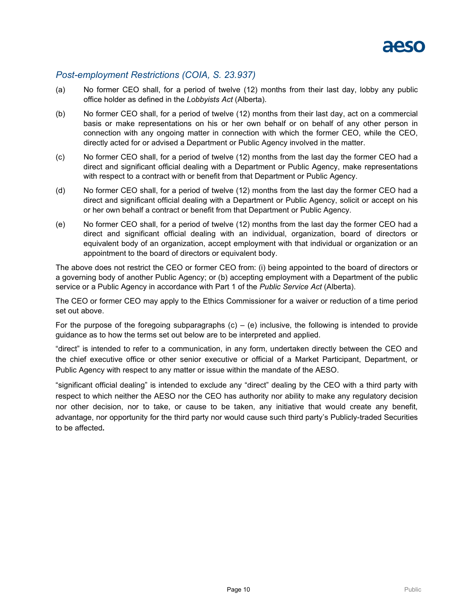

#### *Post-employment Restrictions (COIA, S. 23.937)*

- (a) No former CEO shall, for a period of twelve (12) months from their last day, lobby any public office holder as defined in the *Lobbyists Act* (Alberta).
- (b) No former CEO shall, for a period of twelve (12) months from their last day, act on a commercial basis or make representations on his or her own behalf or on behalf of any other person in connection with any ongoing matter in connection with which the former CEO, while the CEO, directly acted for or advised a Department or Public Agency involved in the matter.
- (c) No former CEO shall, for a period of twelve (12) months from the last day the former CEO had a direct and significant official dealing with a Department or Public Agency, make representations with respect to a contract with or benefit from that Department or Public Agency.
- (d) No former CEO shall, for a period of twelve (12) months from the last day the former CEO had a direct and significant official dealing with a Department or Public Agency, solicit or accept on his or her own behalf a contract or benefit from that Department or Public Agency.
- (e) No former CEO shall, for a period of twelve (12) months from the last day the former CEO had a direct and significant official dealing with an individual, organization, board of directors or equivalent body of an organization, accept employment with that individual or organization or an appointment to the board of directors or equivalent body.

The above does not restrict the CEO or former CEO from: (i) being appointed to the board of directors or a governing body of another Public Agency; or (b) accepting employment with a Department of the public service or a Public Agency in accordance with Part 1 of the *Public Service Act* (Alberta).

The CEO or former CEO may apply to the Ethics Commissioner for a waiver or reduction of a time period set out above.

For the purpose of the foregoing subparagraphs  $(c) - (e)$  inclusive, the following is intended to provide guidance as to how the terms set out below are to be interpreted and applied.

"direct" is intended to refer to a communication, in any form, undertaken directly between the CEO and the chief executive office or other senior executive or official of a Market Participant, Department, or Public Agency with respect to any matter or issue within the mandate of the AESO.

"significant official dealing" is intended to exclude any "direct" dealing by the CEO with a third party with respect to which neither the AESO nor the CEO has authority nor ability to make any regulatory decision nor other decision, nor to take, or cause to be taken, any initiative that would create any benefit, advantage, nor opportunity for the third party nor would cause such third party's Publicly-traded Securities to be affected**.**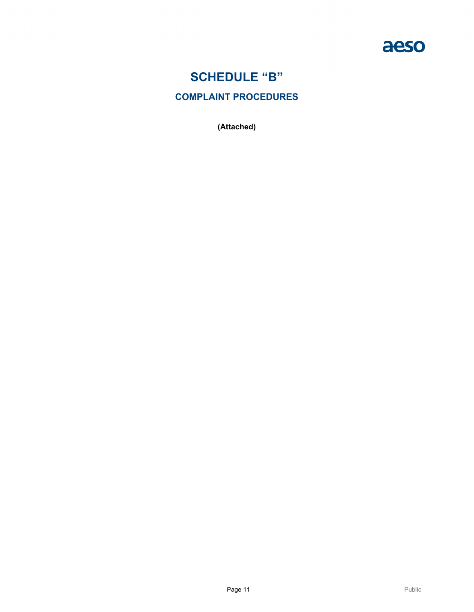

## **SCHEDULE "B"**

### <span id="page-12-0"></span>**COMPLAINT PROCEDURES**

**(Attached)**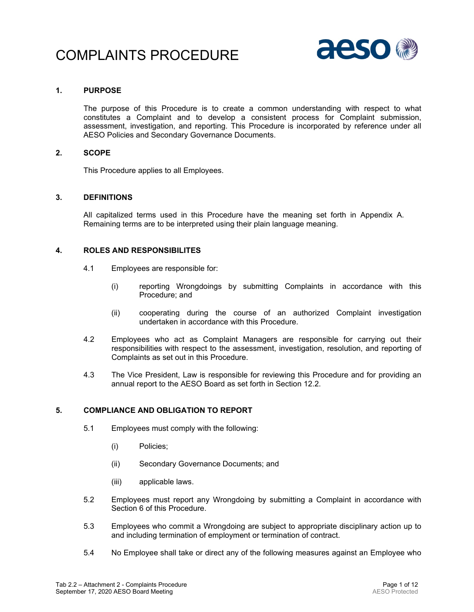## COMPLAINTS PROCEDURE



#### **1. PURPOSE**

The purpose of this Procedure is to create a common understanding with respect to what constitutes a Complaint and to develop a consistent process for Complaint submission, assessment, investigation, and reporting. This Procedure is incorporated by reference under all AESO Policies and Secondary Governance Documents.

#### **2. SCOPE**

This Procedure applies to all Employees.

#### **3. DEFINITIONS**

All capitalized terms used in this Procedure have the meaning set forth in Appendix A. Remaining terms are to be interpreted using their plain language meaning.

#### **4. ROLES AND RESPONSIBILITES**

- 4.1 Employees are responsible for:
	- (i) reporting Wrongdoings by submitting Complaints in accordance with this Procedure; and
	- (ii) cooperating during the course of an authorized Complaint investigation undertaken in accordance with this Procedure.
- 4.2 Employees who act as Complaint Managers are responsible for carrying out their responsibilities with respect to the assessment, investigation, resolution, and reporting of Complaints as set out in this Procedure.
- 4.3 The Vice President, Law is responsible for reviewing this Procedure and for providing an annual report to the AESO Board as set forth in Section [12.2.](#page-20-0)

#### **5. COMPLIANCE AND OBLIGATION TO REPORT**

- 5.1 Employees must comply with the following:
	- (i) Policies;
	- (ii) Secondary Governance Documents; and
	- (iii) applicable laws.
- 5.2 Employees must report any Wrongdoing by submitting a Complaint in accordance with Section [6](#page-14-0) of this Procedure.
- 5.3 Employees who commit a Wrongdoing are subject to appropriate disciplinary action up to and including termination of employment or termination of contract.
- <span id="page-13-0"></span>5.4 No Employee shall take or direct any of the following measures against an Employee who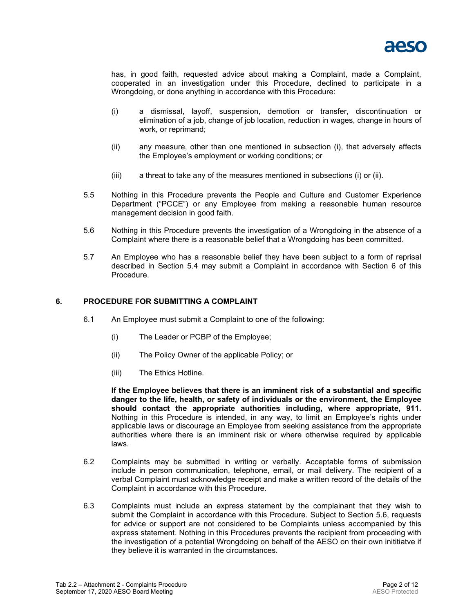

has, in good faith, requested advice about making a Complaint, made a Complaint, cooperated in an investigation under this Procedure, declined to participate in a Wrongdoing, or done anything in accordance with this Procedure:

- <span id="page-14-1"></span>(i) a dismissal, layoff, suspension, demotion or transfer, discontinuation or elimination of a job, change of job location, reduction in wages, change in hours of work, or reprimand;
- (ii) any measure, other than one mentioned in subsection [\(i\),](#page-14-1) that adversely affects the Employee's employment or working conditions; or
- (iii) a threat to take any of the measures mentioned in subsections [\(i\)](#page-14-1) or [\(ii\).](#page-14-2)
- <span id="page-14-2"></span>5.5 Nothing in this Procedure prevents the People and Culture and Customer Experience Department ("PCCE") or any Employee from making a reasonable human resource management decision in good faith.
- <span id="page-14-3"></span>5.6 Nothing in this Procedure prevents the investigation of a Wrongdoing in the absence of a Complaint where there is a reasonable belief that a Wrongdoing has been committed.
- 5.7 An Employee who has a reasonable belief they have been subject to a form of reprisal described in Section [5.4](#page-13-0) may submit a Complaint in accordance with Section [6](#page-14-0) of this Procedure.

#### <span id="page-14-0"></span>**6. PROCEDURE FOR SUBMITTING A COMPLAINT**

- 6.1 An Employee must submit a Complaint to one of the following:
	- (i) The Leader or PCBP of the Employee;
	- (ii) The Policy Owner of the applicable Policy; or
	- (iii) The Ethics Hotline.

**If the Employee believes that there is an imminent risk of a substantial and specific danger to the life, health, or safety of individuals or the environment, the Employee should contact the appropriate authorities including, where appropriate, 911.** Nothing in this Procedure is intended, in any way, to limit an Employee's rights under applicable laws or discourage an Employee from seeking assistance from the appropriate authorities where there is an imminent risk or where otherwise required by applicable laws.

- 6.2 Complaints may be submitted in writing or verbally. Acceptable forms of submission include in person communication, telephone, email, or mail delivery. The recipient of a verbal Complaint must acknowledge receipt and make a written record of the details of the Complaint in accordance with this Procedure.
- 6.3 Complaints must include an express statement by the complainant that they wish to submit the Complaint in accordance with this Procedure. Subject to Section [5.6,](#page-14-3) requests for advice or support are not considered to be Complaints unless accompanied by this express statement. Nothing in this Procedures prevents the recipient from proceeding with the investigation of a potential Wrongdoing on behalf of the AESO on their own inititiatve if they believe it is warranted in the circumstances.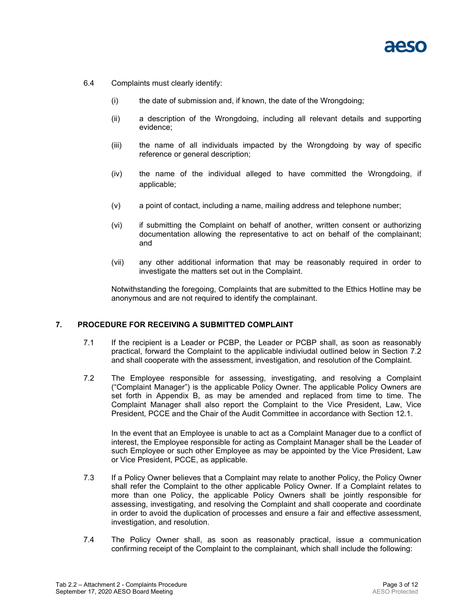- 6.4 Complaints must clearly identify:
	- (i) the date of submission and, if known, the date of the Wrongdoing;
	- (ii) a description of the Wrongdoing, including all relevant details and supporting evidence;
	- (iii) the name of all individuals impacted by the Wrongdoing by way of specific reference or general description;
	- (iv) the name of the individual alleged to have committed the Wrongdoing, if applicable;
	- (v) a point of contact, including a name, mailing address and telephone number;
	- (vi) if submitting the Complaint on behalf of another, written consent or authorizing documentation allowing the representative to act on behalf of the complainant; and
	- (vii) any other additional information that may be reasonably required in order to investigate the matters set out in the Complaint.

Notwithstanding the foregoing, Complaints that are submitted to the Ethics Hotline may be anonymous and are not required to identify the complainant.

#### **7. PROCEDURE FOR RECEIVING A SUBMITTED COMPLAINT**

- 7.1 If the recipient is a Leader or PCBP, the Leader or PCBP shall, as soon as reasonably practical, forward the Complaint to the applicable indiviudal outlined below in Section [7.2](#page-15-0) and shall cooperate with the assessment, investigation, and resolution of the Complaint.
- <span id="page-15-0"></span>7.2 The Employee responsible for assessing, investigating, and resolving a Complaint ("Complaint Manager") is the applicable Policy Owner. The applicable Policy Owners are set forth in Appendix B, as may be amended and replaced from time to time. The Complaint Manager shall also report the Complaint to the Vice President, Law, Vice President, PCCE and the Chair of the Audit Committee in accordance with Section [12.1.](#page-20-1)

In the event that an Employee is unable to act as a Complaint Manager due to a conflict of interest, the Employee responsible for acting as Complaint Manager shall be the Leader of such Employee or such other Employee as may be appointed by the Vice President, Law or Vice President, PCCE, as applicable.

- 7.3 If a Policy Owner believes that a Complaint may relate to another Policy, the Policy Owner shall refer the Complaint to the other applicable Policy Owner. If a Complaint relates to more than one Policy, the applicable Policy Owners shall be jointly responsible for assessing, investigating, and resolving the Complaint and shall cooperate and coordinate in order to avoid the duplication of processes and ensure a fair and effective assessment, investigation, and resolution.
- <span id="page-15-1"></span>7.4 The Policy Owner shall, as soon as reasonably practical, issue a communication confirming receipt of the Complaint to the complainant, which shall include the following: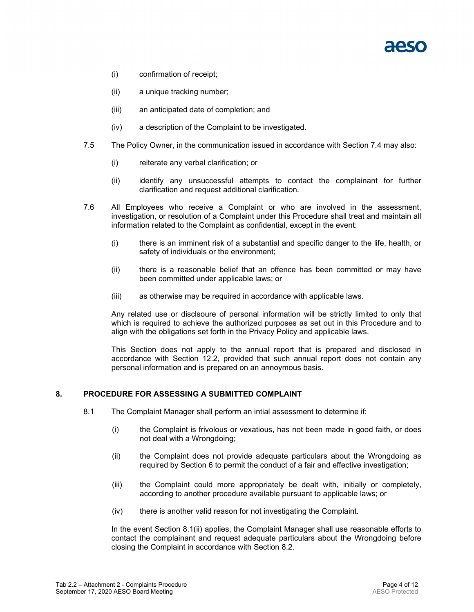- (i) confirmation of receipt;
- (ii) a unique tracking number;
- (iii) an anticipated date of completion; and
- (iv) a description of the Complaint to be investigated.
- 7.5 The Policy Owner, in the communication issued in accordance with Section [7.4](#page-15-1) may also:
	- (i) reiterate any verbal clarification; or
	- (ii) identify any unsuccessful attempts to contact the complainant for further clarification and request additional clarification.
- 7.6 All Employees who receive a Complaint or who are involved in the assessment, investigation, or resolution of a Complaint under this Procedure shall treat and maintain all information related to the Complaint as confidential, except in the event:
	- (i) there is an imminent risk of a substantial and specific danger to the life, health, or safety of individuals or the environment;
	- (ii) there is a reasonable belief that an offence has been committed or may have been committed under applicable laws; or
	- (iii) as otherwise may be required in accordance with applicable laws.

Any related use or disclsoure of personal information will be strictly limited to only that which is required to achieve the authorized purposes as set out in this Procedure and to align with the obligations set forth in the Privacy Policy and applicable laws.

This Section does not apply to the annual report that is prepared and disclosed in accordance with Section [12.2,](#page-20-0) provided that such annual report does not contain any personal information and is prepared on an annoymous basis.

#### <span id="page-16-0"></span>**8. PROCEDURE FOR ASSESSING A SUBMITTED COMPLAINT**

- <span id="page-16-1"></span>8.1 The Complaint Manager shall perform an intial assessment to determine if:
	- (i) the Complaint is frivolous or vexatious, has not been made in good faith, or does not deal with a Wrongdoing;
	- (ii) the Complaint does not provide adequate particulars about the Wrongdoing as required by Section [6](#page-14-0) to permit the conduct of a fair and effective investigation;
	- (iii) the Complaint could more appropriately be dealt with, initially or completely, according to another procedure available pursuant to applicable laws; or
	- (iv) there is another valid reason for not investigating the Complaint.

In the event Section [8.1](#page-16-0)[\(ii\)](#page-16-1) applies, the Complaint Manager shall use reasonable efforts to contact the complainant and request adequate particulars about the Wrongdoing before closing the Complaint in accordance with Section [8.2.](#page-17-0)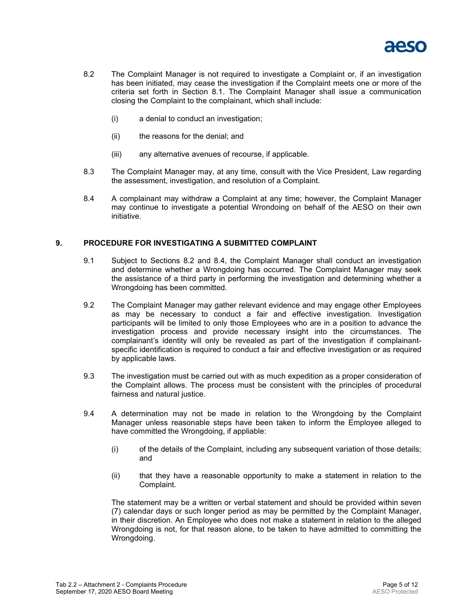

- <span id="page-17-0"></span>8.2 The Complaint Manager is not required to investigate a Complaint or, if an investigation has been initiated, may cease the investigation if the Complaint meets one or more of the criteria set forth in Section [8.1.](#page-16-0) The Complaint Manager shall issue a communication closing the Complaint to the complainant, which shall include:
	- (i) a denial to conduct an investigation;
	- (ii) the reasons for the denial; and
	- (iii) any alternative avenues of recourse, if applicable.
- 8.3 The Complaint Manager may, at any time, consult with the Vice President, Law regarding the assessment, investigation, and resolution of a Complaint.
- <span id="page-17-1"></span>8.4 A complainant may withdraw a Complaint at any time; however, the Complaint Manager may continue to investigate a potential Wrondoing on behalf of the AESO on their own initiative.

#### <span id="page-17-2"></span>**9. PROCEDURE FOR INVESTIGATING A SUBMITTED COMPLAINT**

- 9.1 Subject to Sections [8.2](#page-17-0) and [8.4,](#page-17-1) the Complaint Manager shall conduct an investigation and determine whether a Wrongdoing has occurred. The Complaint Manager may seek the assistance of a third party in performing the investigation and determining whether a Wrongdoing has been committed.
- 9.2 The Complaint Manager may gather relevant evidence and may engage other Employees as may be necessary to conduct a fair and effective investigation. Investigation participants will be limited to only those Employees who are in a position to advance the investigation process and provide necessary insight into the circumstances. The complainant's identity will only be revealed as part of the investigation if complainantspecific identification is required to conduct a fair and effective investigation or as required by applicable laws.
- 9.3 The investigation must be carried out with as much expedition as a proper consideration of the Complaint allows. The process must be consistent with the principles of procedural fairness and natural justice.
- <span id="page-17-3"></span>9.4 A determination may not be made in relation to the Wrongdoing by the Complaint Manager unless reasonable steps have been taken to inform the Employee alleged to have committed the Wrongdoing, if appliable:
	- (i) of the details of the Complaint, including any subsequent variation of those details; and
	- (ii) that they have a reasonable opportunity to make a statement in relation to the Complaint.

The statement may be a written or verbal statement and should be provided within seven (7) calendar days or such longer period as may be permitted by the Complaint Manager, in their discretion. An Employee who does not make a statement in relation to the alleged Wrongdoing is not, for that reason alone, to be taken to have admitted to committing the Wrongdoing.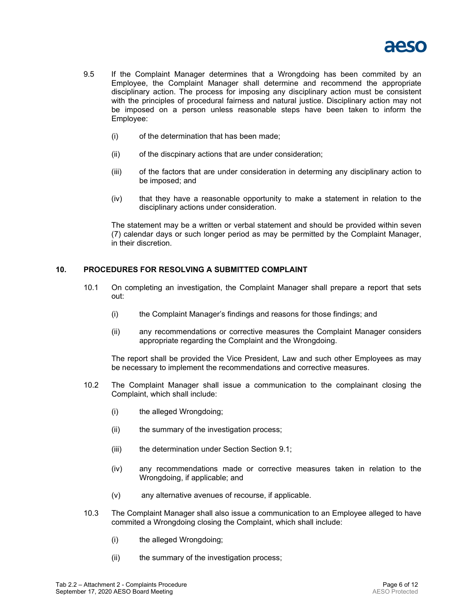

- <span id="page-18-0"></span>9.5 If the Complaint Manager determines that a Wrongdoing has been commited by an Employee, the Complaint Manager shall determine and recommend the appropriate disciplinary action. The process for imposing any disciplinary action must be consistent with the principles of procedural fairness and natural justice. Disciplinary action may not be imposed on a person unless reasonable steps have been taken to inform the Employee:
	- (i) of the determination that has been made;
	- (ii) of the discpinary actions that are under consideration;
	- (iii) of the factors that are under consideration in determing any disciplinary action to be imposed; and
	- (iv) that they have a reasonable opportunity to make a statement in relation to the disciplinary actions under consideration.

The statement may be a written or verbal statement and should be provided within seven (7) calendar days or such longer period as may be permitted by the Complaint Manager, in their discretion.

#### <span id="page-18-1"></span>**10. PROCEDURES FOR RESOLVING A SUBMITTED COMPLAINT**

- 10.1 On completing an investigation, the Complaint Manager shall prepare a report that sets out:
	- (i) the Complaint Manager's findings and reasons for those findings; and
	- (ii) any recommendations or corrective measures the Complaint Manager considers appropriate regarding the Complaint and the Wrongdoing.

The report shall be provided the Vice President, Law and such other Employees as may be necessary to implement the recommendations and corrective measures.

- 10.2 The Complaint Manager shall issue a communication to the complainant closing the Complaint, which shall include:
	- (i) the alleged Wrongdoing;
	- (ii) the summary of the investigation process;
	- (iii) the determination under Section Section [9.1;](#page-17-2)
	- (iv) any recommendations made or corrective measures taken in relation to the Wrongdoing, if applicable; and
	- (v) any alternative avenues of recourse, if applicable.
- 10.3 The Complaint Manager shall also issue a communication to an Employee alleged to have commited a Wrongdoing closing the Complaint, which shall include:
	- (i) the alleged Wrongdoing;
	- (ii) the summary of the investigation process;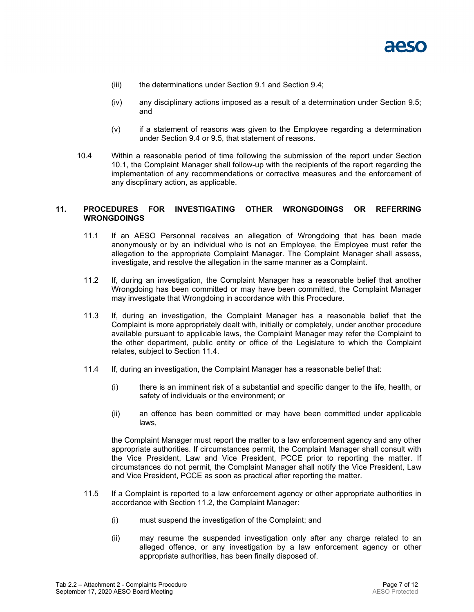<span id="page-19-1"></span>

- (iii) the determinations under Section [9.1](#page-17-2) and Section [9.4;](#page-17-3)
- (iv) any disciplinary actions imposed as a result of a determination under Section [9.5;](#page-18-0) and
- (v) if a statement of reasons was given to the Employee regarding a determination under Section [9.4](#page-17-3) or [9.5,](#page-18-0) that statement of reasons.
- 10.4 Within a reasonable period of time following the submission of the report under Section [10.1,](#page-18-1) the Complaint Manager shall follow-up with the recipients of the report regarding the implementation of any recommendations or corrective measures and the enforcement of any discplinary action, as applicable.

#### **11. PROCEDURES FOR INVESTIGATING OTHER WRONGDOINGS OR REFERRING WRONGDOINGS**

- 11.1 If an AESO Personnal receives an allegation of Wrongdoing that has been made anonymously or by an individual who is not an Employee, the Employee must refer the allegation to the appropriate Complaint Manager. The Complaint Manager shall assess, investigate, and resolve the allegation in the same manner as a Complaint.
- 11.2 If, during an investigation, the Complaint Manager has a reasonable belief that another Wrongdoing has been committed or may have been committed, the Complaint Manager may investigate that Wrongdoing in accordance with this Procedure.
- 11.3 If, during an investigation, the Complaint Manager has a reasonable belief that the Complaint is more appropriately dealt with, initially or completely, under another procedure available pursuant to applicable laws, the Complaint Manager may refer the Complaint to the other department, public entity or office of the Legislature to which the Complaint relates, subject to Section [11.4.](#page-19-0)
- <span id="page-19-0"></span>11.4 If, during an investigation, the Complaint Manager has a reasonable belief that:
	- (i) there is an imminent risk of a substantial and specific danger to the life, health, or safety of individuals or the environment; or
	- (ii) an offence has been committed or may have been committed under applicable laws,

the Complaint Manager must report the matter to a law enforcement agency and any other appropriate authorities. If circumstances permit, the Complaint Manager shall consult with the Vice President, Law and Vice President, PCCE prior to reporting the matter. If circumstances do not permit, the Complaint Manager shall notify the Vice President, Law and Vice President, PCCE as soon as practical after reporting the matter.

- 11.5 If a Complaint is reported to a law enforcement agency or other appropriate authorities in accordance with Section [11.2,](#page-19-1) the Complaint Manager:
	- (i) must suspend the investigation of the Complaint; and
	- (ii) may resume the suspended investigation only after any charge related to an alleged offence, or any investigation by a law enforcement agency or other appropriate authorities, has been finally disposed of.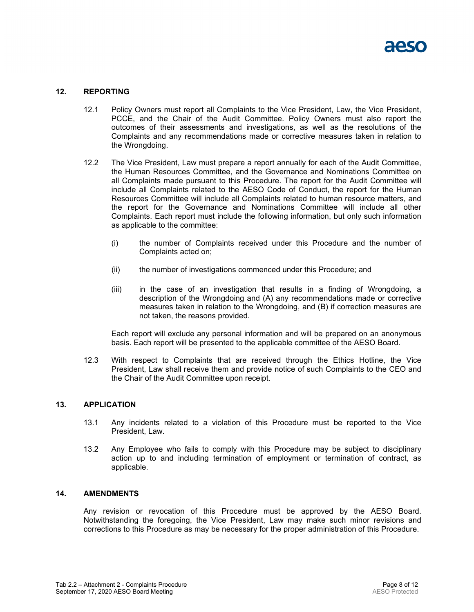#### <span id="page-20-1"></span>**12. REPORTING**

- 12.1 Policy Owners must report all Complaints to the Vice President, Law, the Vice President, PCCE, and the Chair of the Audit Committee. Policy Owners must also report the outcomes of their assessments and investigations, as well as the resolutions of the Complaints and any recommendations made or corrective measures taken in relation to the Wrongdoing.
- <span id="page-20-0"></span>12.2 The Vice President, Law must prepare a report annually for each of the Audit Committee, the Human Resources Committee, and the Governance and Nominations Committee on all Complaints made pursuant to this Procedure. The report for the Audit Committee will include all Complaints related to the AESO Code of Conduct, the report for the Human Resources Committee will include all Complaints related to human resource matters, and the report for the Governance and Nominations Committee will include all other Complaints. Each report must include the following information, but only such information as applicable to the committee:
	- (i) the number of Complaints received under this Procedure and the number of Complaints acted on;
	- (ii) the number of investigations commenced under this Procedure; and
	- (iii) in the case of an investigation that results in a finding of Wrongdoing, a description of the Wrongdoing and (A) any recommendations made or corrective measures taken in relation to the Wrongdoing, and (B) if correction measures are not taken, the reasons provided.

Each report will exclude any personal information and will be prepared on an anonymous basis. Each report will be presented to the applicable committee of the AESO Board.

12.3 With respect to Complaints that are received through the Ethics Hotline, the Vice President, Law shall receive them and provide notice of such Complaints to the CEO and the Chair of the Audit Committee upon receipt.

#### **13. APPLICATION**

- 13.1 Any incidents related to a violation of this Procedure must be reported to the Vice President, Law.
- 13.2 Any Employee who fails to comply with this Procedure may be subject to disciplinary action up to and including termination of employment or termination of contract, as applicable.

#### **14. AMENDMENTS**

Any revision or revocation of this Procedure must be approved by the AESO Board. Notwithstanding the foregoing, the Vice President, Law may make such minor revisions and corrections to this Procedure as may be necessary for the proper administration of this Procedure.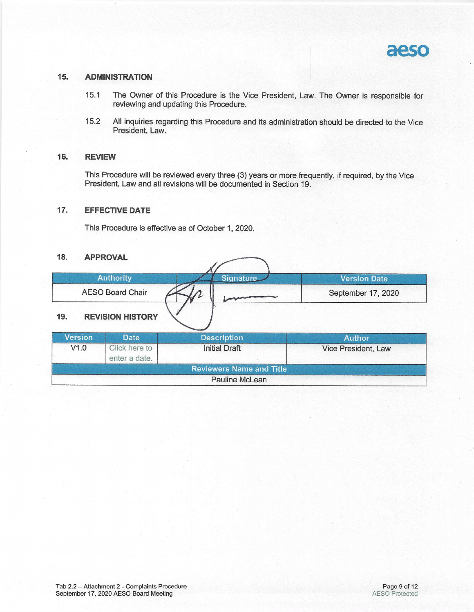

#### 15. **ADMINISTRATION**

- The Owner of this Procedure is the Vice President, Law. The Owner is responsible for  $15.1$ reviewing and updating this Procedure.
- All inquiries regarding this Procedure and its administration should be directed to the Vice 15.2 President, Law.

#### 16. **REVIEW**

This Procedure will be reviewed every three (3) years or more frequently, if required, by the Vice President, Law and all revisions will be documented in Section 19.

#### $17.$ **EFFECTIVE DATE**

This Procedure is effective as of October 1, 2020.

#### 18. **APPROVAL**

|                                                                                                        | <b>Authority</b>               | <b>Signature</b>                | Version Date        |  |  |  |  |
|--------------------------------------------------------------------------------------------------------|--------------------------------|---------------------------------|---------------------|--|--|--|--|
|                                                                                                        | <b>AESO Board Chair</b>        |                                 | September 17, 2020  |  |  |  |  |
| <b>REVISION HISTORY</b><br>19.<br><b>Version</b><br><b>Date</b><br><b>Description</b><br><b>Author</b> |                                |                                 |                     |  |  |  |  |
| V1.0                                                                                                   | Click here to<br>enter a date. | <b>Initial Draft</b>            | Vice President, Law |  |  |  |  |
|                                                                                                        |                                | <b>Reviewers Name and Title</b> |                     |  |  |  |  |
|                                                                                                        |                                |                                 |                     |  |  |  |  |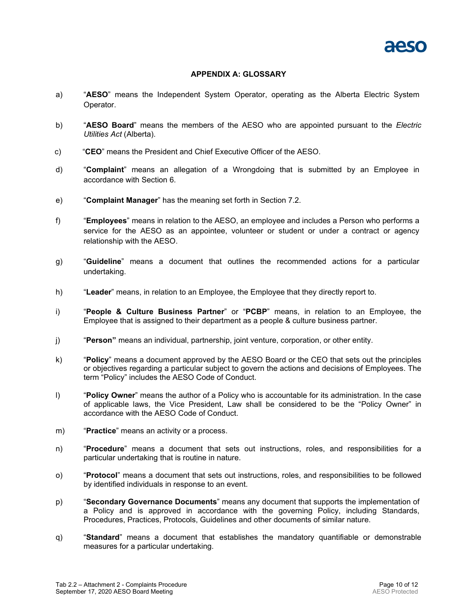#### **APPENDIX A: GLOSSARY**

- a) "**AESO**" means the Independent System Operator, operating as the Alberta Electric System Operator.
- b) "**AESO Board**" means the members of the AESO who are appointed pursuant to the *Electric Utilities Act* (Alberta).
- c) "**CEO**" means the President and Chief Executive Officer of the AESO.
- d) "**Complaint**" means an allegation of a Wrongdoing that is submitted by an Employee in accordance with Section [6.](#page-14-0)
- e) "**Complaint Manager**" has the meaning set forth in Section [7.2.](#page-15-0)
- f) "**Employees**" means in relation to the AESO, an employee and includes a Person who performs a service for the AESO as an appointee, volunteer or student or under a contract or agency relationship with the AESO.
- g) "**Guideline**" means a document that outlines the recommended actions for a particular undertaking.
- h) "**Leader**" means, in relation to an Employee, the Employee that they directly report to.
- i) "**People & Culture Business Partner**" or "**PCBP**" means, in relation to an Employee, the Employee that is assigned to their department as a people & culture business partner.
- j) "**Person"** means an individual, partnership, joint venture, corporation, or other entity.
- k) "**Policy**" means a document approved by the AESO Board or the CEO that sets out the principles or objectives regarding a particular subject to govern the actions and decisions of Employees. The term "Policy" includes the AESO Code of Conduct.
- l) "**Policy Owner**" means the author of a Policy who is accountable for its administration. In the case of applicable laws, the Vice President, Law shall be considered to be the "Policy Owner" in accordance with the AESO Code of Conduct.
- m) "**Practice**" means an activity or a process.
- n) "**Procedure**" means a document that sets out instructions, roles, and responsibilities for a particular undertaking that is routine in nature.
- o) "**Protocol**" means a document that sets out instructions, roles, and responsibilities to be followed by identified individuals in response to an event.
- p) "**Secondary Governance Documents**" means any document that supports the implementation of a Policy and is approved in accordance with the governing Policy, including Standards, Procedures, Practices, Protocols, Guidelines and other documents of similar nature.
- q) "**Standard**" means a document that establishes the mandatory quantifiable or demonstrable measures for a particular undertaking.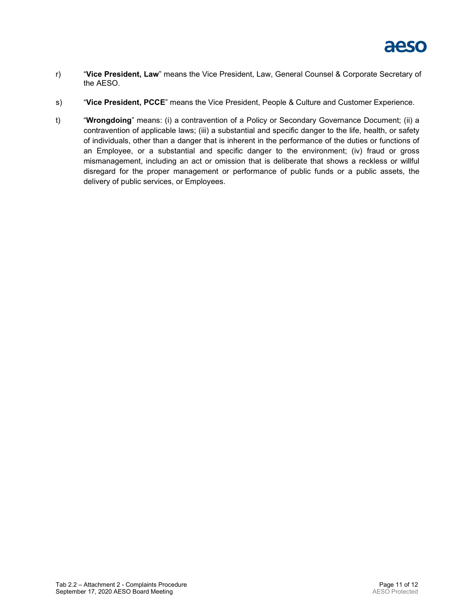

- r) "**Vice President, Law**" means the Vice President, Law, General Counsel & Corporate Secretary of the AESO.
- s) "**Vice President, PCCE**" means the Vice President, People & Culture and Customer Experience.
- t) "**Wrongdoing**" means: (i) a contravention of a Policy or Secondary Governance Document; (ii) a contravention of applicable laws; (iii) a substantial and specific danger to the life, health, or safety of individuals, other than a danger that is inherent in the performance of the duties or functions of an Employee, or a substantial and specific danger to the environment; (iv) fraud or gross mismanagement, including an act or omission that is deliberate that shows a reckless or willful disregard for the proper management or performance of public funds or a public assets, the delivery of public services, or Employees.